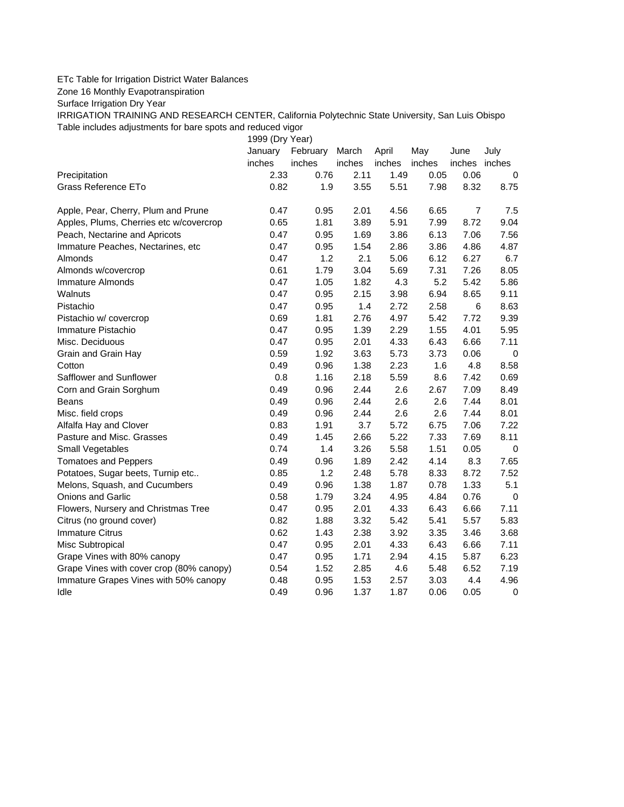## ETc Table for Irrigation District Water Balances

Zone 16 Monthly Evapotranspiration

Surface Irrigation Dry Year

IRRIGATION TRAINING AND RESEARCH CENTER, California Polytechnic State University, San Luis Obispo Table includes adjustments for bare spots and reduced vigor

1999 (Dry Year)

|                                          | January<br>inches | February<br>inches | March<br>inches | April<br>inches | May<br>inches | June<br>inches inches | July        |
|------------------------------------------|-------------------|--------------------|-----------------|-----------------|---------------|-----------------------|-------------|
| Precipitation                            | 2.33              | 0.76               | 2.11            | 1.49            | 0.05          | 0.06                  | 0           |
| <b>Grass Reference ETo</b>               | 0.82              | 1.9                | 3.55            | 5.51            | 7.98          | 8.32                  | 8.75        |
| Apple, Pear, Cherry, Plum and Prune      | 0.47              | 0.95               | 2.01            | 4.56            | 6.65          | $\overline{7}$        | 7.5         |
| Apples, Plums, Cherries etc w/covercrop  | 0.65              | 1.81               | 3.89            | 5.91            | 7.99          | 8.72                  | 9.04        |
| Peach, Nectarine and Apricots            | 0.47              | 0.95               | 1.69            | 3.86            | 6.13          | 7.06                  | 7.56        |
| Immature Peaches, Nectarines, etc        | 0.47              | 0.95               | 1.54            | 2.86            | 3.86          | 4.86                  | 4.87        |
| Almonds                                  | 0.47              | 1.2                | 2.1             | 5.06            | 6.12          | 6.27                  | 6.7         |
| Almonds w/covercrop                      | 0.61              | 1.79               | 3.04            | 5.69            | 7.31          | 7.26                  | 8.05        |
| <b>Immature Almonds</b>                  | 0.47              | 1.05               | 1.82            | 4.3             | 5.2           | 5.42                  | 5.86        |
| Walnuts                                  | 0.47              | 0.95               | 2.15            | 3.98            | 6.94          | 8.65                  | 9.11        |
| Pistachio                                | 0.47              | 0.95               | 1.4             | 2.72            | 2.58          | 6                     | 8.63        |
| Pistachio w/ covercrop                   | 0.69              | 1.81               | 2.76            | 4.97            | 5.42          | 7.72                  | 9.39        |
| Immature Pistachio                       | 0.47              | 0.95               | 1.39            | 2.29            | 1.55          | 4.01                  | 5.95        |
| Misc. Deciduous                          | 0.47              | 0.95               | 2.01            | 4.33            | 6.43          | 6.66                  | 7.11        |
| Grain and Grain Hay                      | 0.59              | 1.92               | 3.63            | 5.73            | 3.73          | 0.06                  | $\mathbf 0$ |
| Cotton                                   | 0.49              | 0.96               | 1.38            | 2.23            | 1.6           | 4.8                   | 8.58        |
| Safflower and Sunflower                  | 0.8               | 1.16               | 2.18            | 5.59            | 8.6           | 7.42                  | 0.69        |
| Corn and Grain Sorghum                   | 0.49              | 0.96               | 2.44            | 2.6             | 2.67          | 7.09                  | 8.49        |
| <b>Beans</b>                             | 0.49              | 0.96               | 2.44            | 2.6             | 2.6           | 7.44                  | 8.01        |
| Misc. field crops                        | 0.49              | 0.96               | 2.44            | 2.6             | 2.6           | 7.44                  | 8.01        |
| Alfalfa Hay and Clover                   | 0.83              | 1.91               | 3.7             | 5.72            | 6.75          | 7.06                  | 7.22        |
| Pasture and Misc. Grasses                | 0.49              | 1.45               | 2.66            | 5.22            | 7.33          | 7.69                  | 8.11        |
| Small Vegetables                         | 0.74              | 1.4                | 3.26            | 5.58            | 1.51          | 0.05                  | $\mathbf 0$ |
| <b>Tomatoes and Peppers</b>              | 0.49              | 0.96               | 1.89            | 2.42            | 4.14          | 8.3                   | 7.65        |
| Potatoes, Sugar beets, Turnip etc        | 0.85              | 1.2                | 2.48            | 5.78            | 8.33          | 8.72                  | 7.52        |
| Melons, Squash, and Cucumbers            | 0.49              | 0.96               | 1.38            | 1.87            | 0.78          | 1.33                  | 5.1         |
| <b>Onions and Garlic</b>                 | 0.58              | 1.79               | 3.24            | 4.95            | 4.84          | 0.76                  | $\mathbf 0$ |
| Flowers, Nursery and Christmas Tree      | 0.47              | 0.95               | 2.01            | 4.33            | 6.43          | 6.66                  | 7.11        |
| Citrus (no ground cover)                 | 0.82              | 1.88               | 3.32            | 5.42            | 5.41          | 5.57                  | 5.83        |
| <b>Immature Citrus</b>                   | 0.62              | 1.43               | 2.38            | 3.92            | 3.35          | 3.46                  | 3.68        |
| Misc Subtropical                         | 0.47              | 0.95               | 2.01            | 4.33            | 6.43          | 6.66                  | 7.11        |
| Grape Vines with 80% canopy              | 0.47              | 0.95               | 1.71            | 2.94            | 4.15          | 5.87                  | 6.23        |
| Grape Vines with cover crop (80% canopy) | 0.54              | 1.52               | 2.85            | 4.6             | 5.48          | 6.52                  | 7.19        |
| Immature Grapes Vines with 50% canopy    | 0.48              | 0.95               | 1.53            | 2.57            | 3.03          | 4.4                   | 4.96        |
| Idle                                     | 0.49              | 0.96               | 1.37            | 1.87            | 0.06          | 0.05                  | $\pmb{0}$   |